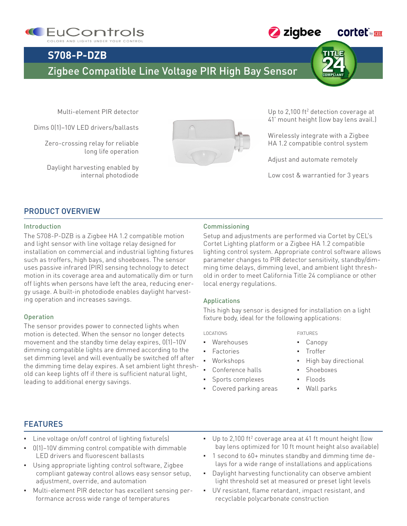



## **S708-P-DZB**

### Zigbee Compatible Line Voltage PIR High Bay Sensor

Multi-element PIR detector

Dims 0(1)–10V LED drivers/ballasts

Zero-crossing relay for reliable long life operation

Daylight harvesting enabled by internal photodiode



Up to 2,100 ft<sup>2</sup> detection coverage at 41' mount height (low bay lens avail.)

Wirelessly integrate with a Zigbee HA 1.2 compatible control system

Adjust and automate remotely

Low cost & warrantied for 3 years

#### PRODUCT OVERVIEW

#### Introduction

The S708-P-DZB is a Zigbee HA 1.2 compatible motion and light sensor with line voltage relay designed for installation on commercial and industrial lighting fixtures such as troffers, high bays, and shoeboxes. The sensor uses passive infrared (PIR) sensing technology to detect motion in its coverage area and automatically dim or turn off lights when persons have left the area, reducing energy usage. A built-in photodiode enables daylight harvesting operation and increases savings.

#### Operation

The sensor provides power to connected lights when motion is detected. When the sensor no longer detects movement and the standby time delay expires, 0(1)–10V dimming compatible lights are dimmed according to the set dimming level and will eventually be switched off after the dimming time delay expires. A set ambient light threshold can keep lights off if there is sufficient natural light, leading to additional energy savings.

#### Commissioning

Setup and adjustments are performed via Cortet by CEL's Cortet Lighting platform or a Zigbee HA 1.2 compatible lighting control system. Appropriate control software allows parameter changes to PIR detector sensitivity, standby/dimming time delays, dimming level, and ambient light threshold in order to meet California Title 24 compliance or other local energy regulations.

#### Applications

This high bay sensor is designed for installation on a light fixture body, ideal for the following applications:

**LOCATIONS** 

- Warehouses
- **Factories**
- Workshops
- Conference halls
- Sports complexes
- Covered parking areas

#### fixtures

- Canopy
- **Troffer**
- High bay directional
- **Shoeboxes**
- Floods
- Wall parks

#### FEATURES

- Line voltage on/off control of lighting fixture(s)
- $0(1)$ –10V dimming control compatible with dimmable LED drivers and fluorescent ballasts
- Using appropriate lighting control software, Zigbee compliant gateway control allows easy sensor setup, adjustment, override, and automation
- Multi-element PIR detector has excellent sensing performance across wide range of temperatures
- $\bullet$  Up to 2,100 ft<sup>2</sup> coverage area at 41 ft mount height (low bay lens optimized for 10 ft mount height also available)
- 1 second to 60+ minutes standby and dimming time delays for a wide range of installations and applications
- Daylight harvesting functionality can observe ambient light threshold set at measured or preset light levels
- UV resistant, flame retardant, impact resistant, and recyclable polycarbonate construction